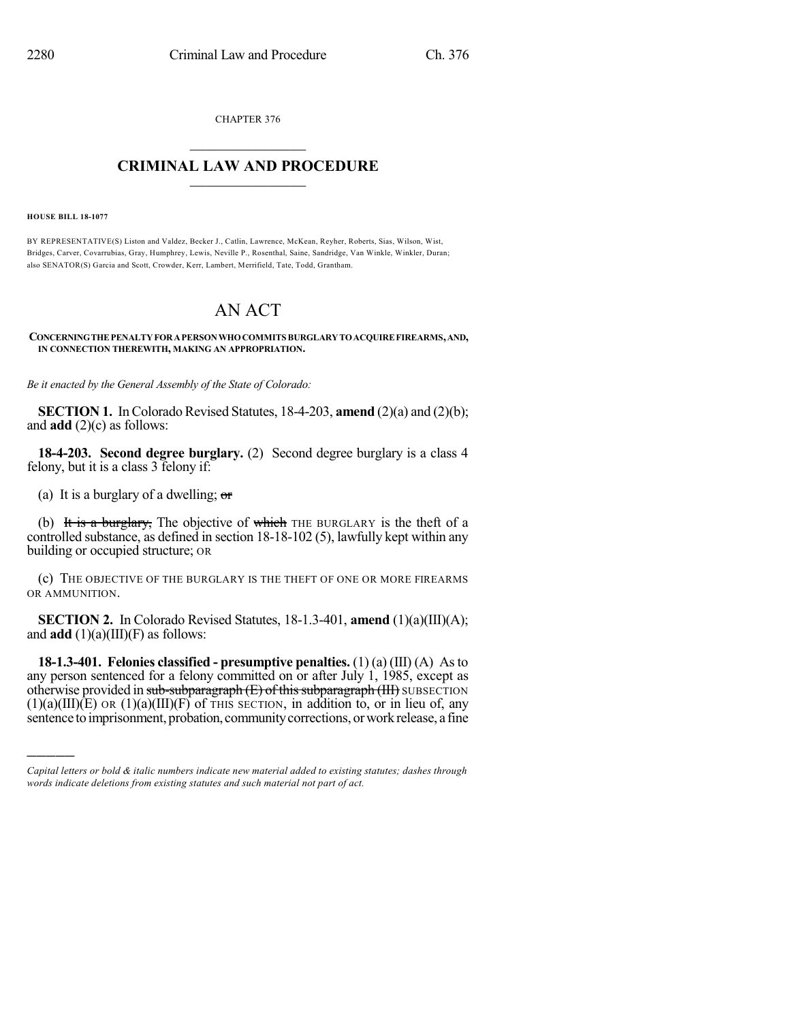CHAPTER 376  $\overline{\phantom{a}}$  . The set of the set of the set of the set of the set of the set of the set of the set of the set of the set of the set of the set of the set of the set of the set of the set of the set of the set of the set o

## **CRIMINAL LAW AND PROCEDURE**  $\frac{1}{2}$  ,  $\frac{1}{2}$  ,  $\frac{1}{2}$  ,  $\frac{1}{2}$  ,  $\frac{1}{2}$  ,  $\frac{1}{2}$  ,  $\frac{1}{2}$

**HOUSE BILL 18-1077**

)))))

BY REPRESENTATIVE(S) Liston and Valdez, Becker J., Catlin, Lawrence, McKean, Reyher, Roberts, Sias, Wilson, Wist, Bridges, Carver, Covarrubias, Gray, Humphrey, Lewis, Neville P., Rosenthal, Saine, Sandridge, Van Winkle, Winkler, Duran; also SENATOR(S) Garcia and Scott, Crowder, Kerr, Lambert, Merrifield, Tate, Todd, Grantham.

## AN ACT

## **CONCERNINGTHEPENALTYFORAPERSONWHOCOMMITS BURGLARYTOACQUIREFIREARMS,AND, IN CONNECTION THEREWITH, MAKING AN APPROPRIATION.**

*Be it enacted by the General Assembly of the State of Colorado:*

**SECTION 1.** In Colorado Revised Statutes,  $18-4-203$ , **amend**  $(2)(a)$  and  $(2)(b)$ ; and **add** (2)(c) as follows:

**18-4-203. Second degree burglary.** (2) Second degree burglary is a class 4 felony, but it is a class 3 felony if:

(a) It is a burglary of a dwelling;  $\sigma$ 

(b) It is a burglary, The objective of which THE BURGLARY is the theft of a controlled substance, as defined in section 18-18-102 (5), lawfully kept within any building or occupied structure; OR

(c) THE OBJECTIVE OF THE BURGLARY IS THE THEFT OF ONE OR MORE FIREARMS OR AMMUNITION.

**SECTION 2.** In Colorado Revised Statutes, 18-1.3-401, **amend** (1)(a)(III)(A); and  $add(1)(a)(III)(F)$  as follows:

**18-1.3-401. Felonies classified - presumptive penalties.** (1) (a) (III) (A) Asto any person sentenced for a felony committed on or after July 1, 1985, except as otherwise provided in sub-subparagraph  $(E)$  of this subparagraph  $(HI)$  SUBSECTION  $(1)(a)(III)(E)$  OR  $(1)(a)(III)(F)$  of THIS SECTION, in addition to, or in lieu of, any sentence to imprisonment, probation, community corrections, or work release, a fine

*Capital letters or bold & italic numbers indicate new material added to existing statutes; dashes through words indicate deletions from existing statutes and such material not part of act.*